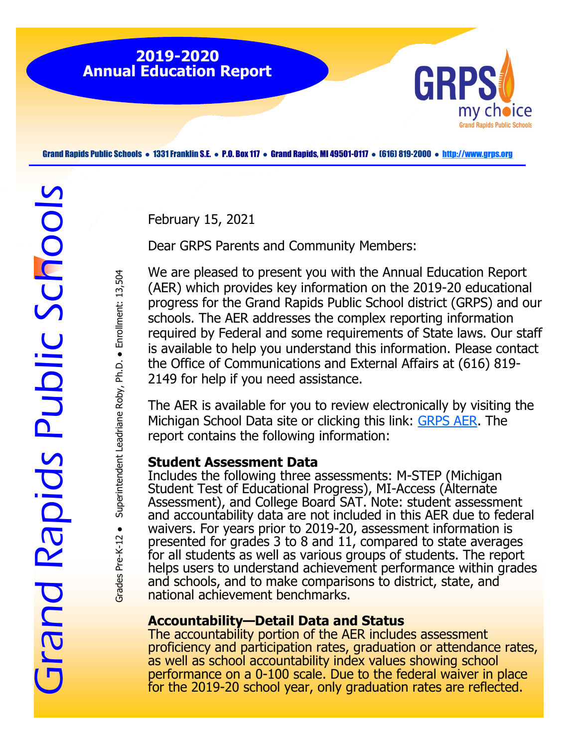

Grand Rapids Public Schools ● 1331 Franklin S.E. ● P.O. Box 117 ● Grand Rapids, MI 49501-0117 ● (616) 819-2000 ● <http://www.grps.org>

February 15, 2021

Dear GRPS Parents and Community Members:

We are pleased to present you with the Annual Education Report (AER) which provides key information on the 2019-20 educational progress for the Grand Rapids Public School district (GRPS) and our schools. The AER addresses the complex reporting information required by Federal and some requirements of State laws. Our staff is available to help you understand this information. Please contact the Office of Communications and External Affairs at (616) 819- 2149 for help if you need assistance.

The AER is available for you to review electronically by visiting the Michigan School Data site or clicking this link: [GRPS AER.](https://www.mischooldata.org/AER2018/CombinedReport2.aspx) The report contains the following information:

#### **Student Assessment Data**

Includes the following three assessments: M-STEP (Michigan Student Test of Educational Progress), MI-Access (Alternate Assessment), and College Board SAT. Note: student assessment and accountability data are not included in this AER due to federal waivers. For years prior to 2019-20, assessment information is presented for grades 3 to 8 and 11, compared to state averages for all students as well as various groups of students. The report helps users to understand achievement performance within grades and schools, and to make comparisons to district, state, and national achievement benchmarks.

### **Accountability—Detail Data and Status**

The accountability portion of the AER includes assessment proficiency and participation rates, graduation or attendance rates, as well as school accountability index values showing school performance on a 0-100 scale. Due to the federal waiver in place for the 2019-20 school year, only graduation rates are reflected.

Superintendent Leadriane Roby, Ph.D. . Enrollment: 13,504 Grades Pre-K-12 ● Superintendent Leadriane Roby, Ph.D. ● Enrollment: 13,504 Grades Pre-K-12 ·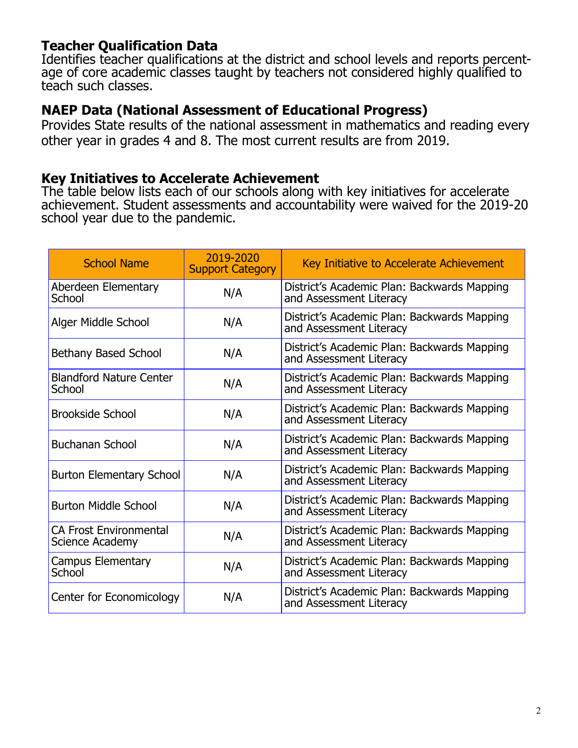# **Teacher Qualification Data**

Identifies teacher qualifications at the district and school levels and reports percentage of core academic classes taught by teachers not considered highly qualified to teach such classes.

# **NAEP Data (National Assessment of Educational Progress)**

Provides State results of the national assessment in mathematics and reading every other year in grades 4 and 8. The most current results are from 2019.

## **Key Initiatives to Accelerate Achievement**

The table below lists each of our schools along with key initiatives for accelerate achievement. Student assessments and accountability were waived for the 2019-20 school year due to the pandemic.

| <b>School Name</b>                               | 2019-2020<br><b>Support Category</b> | Key Initiative to Accelerate Achievement                               |
|--------------------------------------------------|--------------------------------------|------------------------------------------------------------------------|
| Aberdeen Elementary<br>School                    | N/A                                  | District's Academic Plan: Backwards Mapping<br>and Assessment Literacy |
| Alger Middle School                              | N/A                                  | District's Academic Plan: Backwards Mapping<br>and Assessment Literacy |
| <b>Bethany Based School</b>                      | N/A                                  | District's Academic Plan: Backwards Mapping<br>and Assessment Literacy |
| <b>Blandford Nature Center</b><br>School         | N/A                                  | District's Academic Plan: Backwards Mapping<br>and Assessment Literacy |
| <b>Brookside School</b>                          | N/A                                  | District's Academic Plan: Backwards Mapping<br>and Assessment Literacy |
| <b>Buchanan School</b>                           | N/A                                  | District's Academic Plan: Backwards Mapping<br>and Assessment Literacy |
| <b>Burton Elementary School</b>                  | N/A                                  | District's Academic Plan: Backwards Mapping<br>and Assessment Literacy |
| <b>Burton Middle School</b>                      | N/A                                  | District's Academic Plan: Backwards Mapping<br>and Assessment Literacy |
| <b>CA Frost Environmental</b><br>Science Academy | N/A                                  | District's Academic Plan: Backwards Mapping<br>and Assessment Literacy |
| Campus Elementary<br>School                      | N/A                                  | District's Academic Plan: Backwards Mapping<br>and Assessment Literacy |
| Center for Economicology                         | N/A                                  | District's Academic Plan: Backwards Mapping<br>and Assessment Literacy |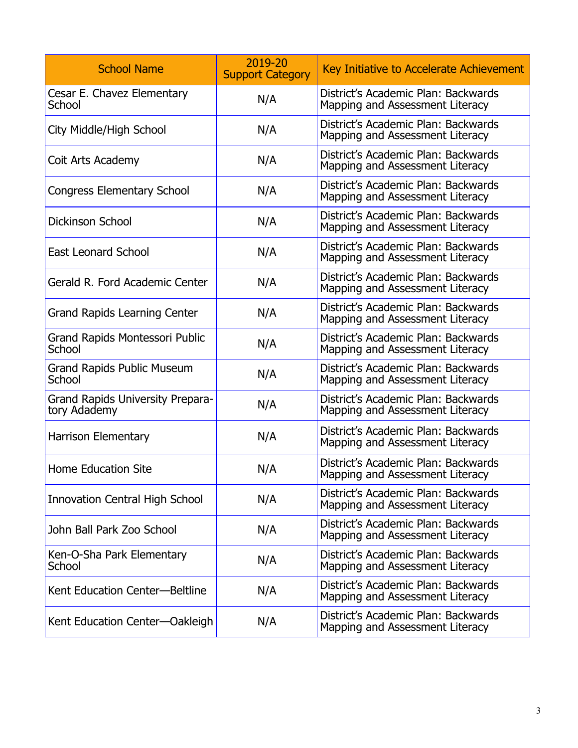| <b>School Name</b>                               | 2019-20<br><b>Support Category</b> | Key Initiative to Accelerate Achievement                               |
|--------------------------------------------------|------------------------------------|------------------------------------------------------------------------|
| Cesar E. Chavez Elementary<br>School             | N/A                                | District's Academic Plan: Backwards<br>Mapping and Assessment Literacy |
| City Middle/High School                          | N/A                                | District's Academic Plan: Backwards<br>Mapping and Assessment Literacy |
| Coit Arts Academy                                | N/A                                | District's Academic Plan: Backwards<br>Mapping and Assessment Literacy |
| <b>Congress Elementary School</b>                | N/A                                | District's Academic Plan: Backwards<br>Mapping and Assessment Literacy |
| <b>Dickinson School</b>                          | N/A                                | District's Academic Plan: Backwards<br>Mapping and Assessment Literacy |
| <b>East Leonard School</b>                       | N/A                                | District's Academic Plan: Backwards<br>Mapping and Assessment Literacy |
| Gerald R. Ford Academic Center                   | N/A                                | District's Academic Plan: Backwards<br>Mapping and Assessment Literacy |
| <b>Grand Rapids Learning Center</b>              | N/A                                | District's Academic Plan: Backwards<br>Mapping and Assessment Literacy |
| Grand Rapids Montessori Public<br>School         | N/A                                | District's Academic Plan: Backwards<br>Mapping and Assessment Literacy |
| <b>Grand Rapids Public Museum</b><br>School      | N/A                                | District's Academic Plan: Backwards<br>Mapping and Assessment Literacy |
| Grand Rapids University Prepara-<br>tory Adademy | N/A                                | District's Academic Plan: Backwards<br>Mapping and Assessment Literacy |
| <b>Harrison Elementary</b>                       | N/A                                | District's Academic Plan: Backwards<br>Mapping and Assessment Literacy |
| <b>Home Education Site</b>                       | N/A                                | District's Academic Plan: Backwards<br>Mapping and Assessment Literacy |
| <b>Innovation Central High School</b>            | N/A                                | District's Academic Plan: Backwards<br>Mapping and Assessment Literacy |
| John Ball Park Zoo School                        | N/A                                | District's Academic Plan: Backwards<br>Mapping and Assessment Literacy |
| Ken-O-Sha Park Elementary<br>School              | N/A                                | District's Academic Plan: Backwards<br>Mapping and Assessment Literacy |
| Kent Education Center-Beltline                   | N/A                                | District's Academic Plan: Backwards<br>Mapping and Assessment Literacy |
| Kent Education Center-Oakleigh                   | N/A                                | District's Academic Plan: Backwards<br>Mapping and Assessment Literacy |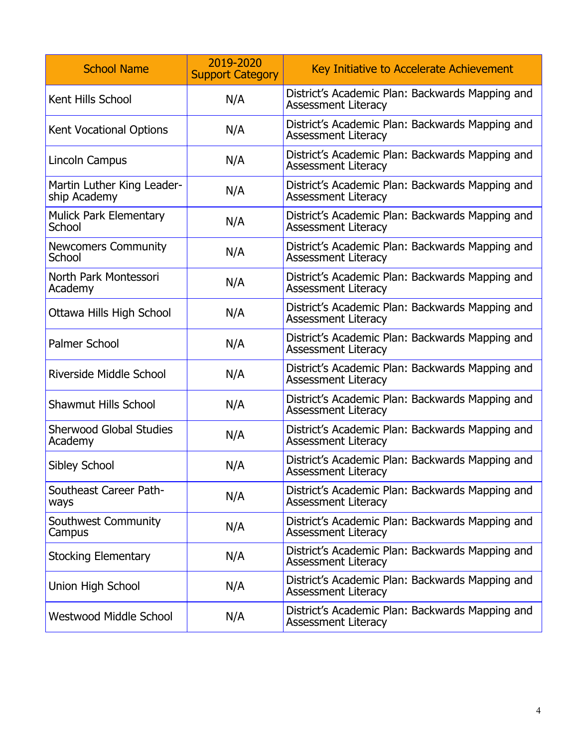| <b>School Name</b>                         | 2019-2020<br><b>Support Category</b> | Key Initiative to Accelerate Achievement                                      |
|--------------------------------------------|--------------------------------------|-------------------------------------------------------------------------------|
| Kent Hills School                          | N/A                                  | District's Academic Plan: Backwards Mapping and<br><b>Assessment Literacy</b> |
| <b>Kent Vocational Options</b>             | N/A                                  | District's Academic Plan: Backwards Mapping and<br><b>Assessment Literacy</b> |
| Lincoln Campus                             | N/A                                  | District's Academic Plan: Backwards Mapping and<br><b>Assessment Literacy</b> |
| Martin Luther King Leader-<br>ship Academy | N/A                                  | District's Academic Plan: Backwards Mapping and<br><b>Assessment Literacy</b> |
| <b>Mulick Park Elementary</b><br>School    | N/A                                  | District's Academic Plan: Backwards Mapping and<br><b>Assessment Literacy</b> |
| <b>Newcomers Community</b><br>School       | N/A                                  | District's Academic Plan: Backwards Mapping and<br><b>Assessment Literacy</b> |
| North Park Montessori<br>Academy           | N/A                                  | District's Academic Plan: Backwards Mapping and<br><b>Assessment Literacy</b> |
| Ottawa Hills High School                   | N/A                                  | District's Academic Plan: Backwards Mapping and<br><b>Assessment Literacy</b> |
| <b>Palmer School</b>                       | N/A                                  | District's Academic Plan: Backwards Mapping and<br><b>Assessment Literacy</b> |
| Riverside Middle School                    | N/A                                  | District's Academic Plan: Backwards Mapping and<br><b>Assessment Literacy</b> |
| <b>Shawmut Hills School</b>                | N/A                                  | District's Academic Plan: Backwards Mapping and<br><b>Assessment Literacy</b> |
| <b>Sherwood Global Studies</b><br>Academy  | N/A                                  | District's Academic Plan: Backwards Mapping and<br><b>Assessment Literacy</b> |
| <b>Sibley School</b>                       | N/A                                  | District's Academic Plan: Backwards Mapping and<br><b>Assessment Literacy</b> |
| Southeast Career Path-<br>ways             | N/A                                  | District's Academic Plan: Backwards Mapping and<br><b>Assessment Literacy</b> |
| Southwest Community<br>Campus              | N/A                                  | District's Academic Plan: Backwards Mapping and<br><b>Assessment Literacy</b> |
| <b>Stocking Elementary</b>                 | N/A                                  | District's Academic Plan: Backwards Mapping and<br><b>Assessment Literacy</b> |
| Union High School                          | N/A                                  | District's Academic Plan: Backwards Mapping and<br><b>Assessment Literacy</b> |
| Westwood Middle School                     | N/A                                  | District's Academic Plan: Backwards Mapping and<br><b>Assessment Literacy</b> |